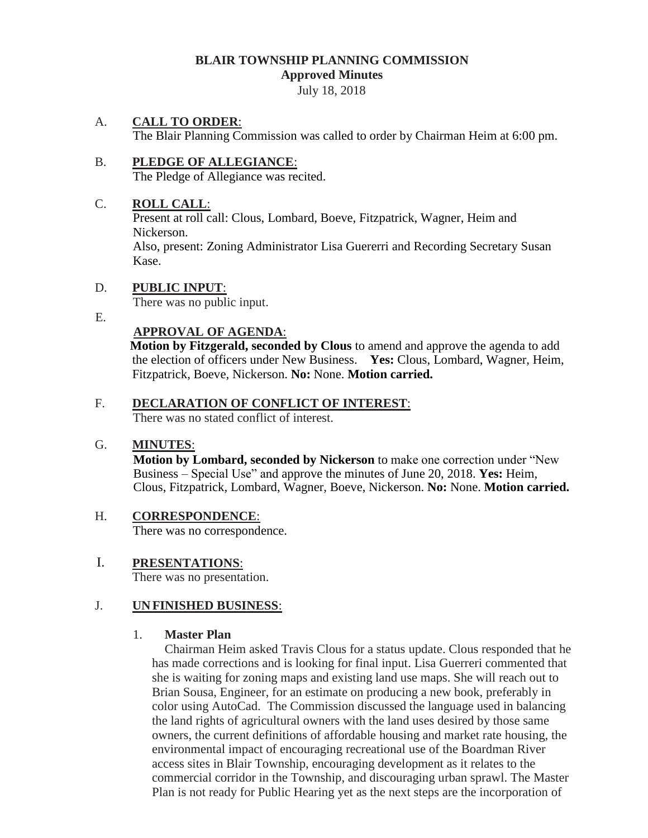#### **BLAIR TOWNSHIP PLANNING COMMISSION Approved Minutes**

July 18, 2018

### A. **CALL TO ORDER**:

The Blair Planning Commission was called to order by Chairman Heim at 6:00 pm.

#### B. **PLEDGE OF ALLEGIANCE**: The Pledge of Allegiance was recited.

### C. **ROLL CALL**:

Present at roll call: Clous, Lombard, Boeve, Fitzpatrick, Wagner, Heim and Nickerson.

Also, present: Zoning Administrator Lisa Guererri and Recording Secretary Susan Kase.

### D. **PUBLIC INPUT**:

There was no public input.

E.

# **APPROVAL OF AGENDA**:

 **Motion by Fitzgerald, seconded by Clous** to amend and approve the agenda to add the election of officers under New Business. **Yes:** Clous, Lombard, Wagner, Heim, Fitzpatrick, Boeve, Nickerson. **No:** None. **Motion carried.** 

### F. **DECLARATION OF CONFLICT OF INTEREST**:

There was no stated conflict of interest.

### G. **MINUTES**:

**Motion by Lombard, seconded by Nickerson** to make one correction under "New Business – Special Use" and approve the minutes of June 20, 2018. **Yes:** Heim, Clous, Fitzpatrick, Lombard, Wagner, Boeve, Nickerson. **No:** None. **Motion carried.**

# H. **CORRESPONDENCE**:

There was no correspondence.

# I. **PRESENTATIONS**:

There was no presentation.

### J. **UNFINISHED BUSINESS**:

### 1. **Master Plan**

 Chairman Heim asked Travis Clous for a status update. Clous responded that he has made corrections and is looking for final input. Lisa Guerreri commented that she is waiting for zoning maps and existing land use maps. She will reach out to Brian Sousa, Engineer, for an estimate on producing a new book, preferably in color using AutoCad. The Commission discussed the language used in balancing the land rights of agricultural owners with the land uses desired by those same owners, the current definitions of affordable housing and market rate housing, the environmental impact of encouraging recreational use of the Boardman River access sites in Blair Township, encouraging development as it relates to the commercial corridor in the Township, and discouraging urban sprawl. The Master Plan is not ready for Public Hearing yet as the next steps are the incorporation of